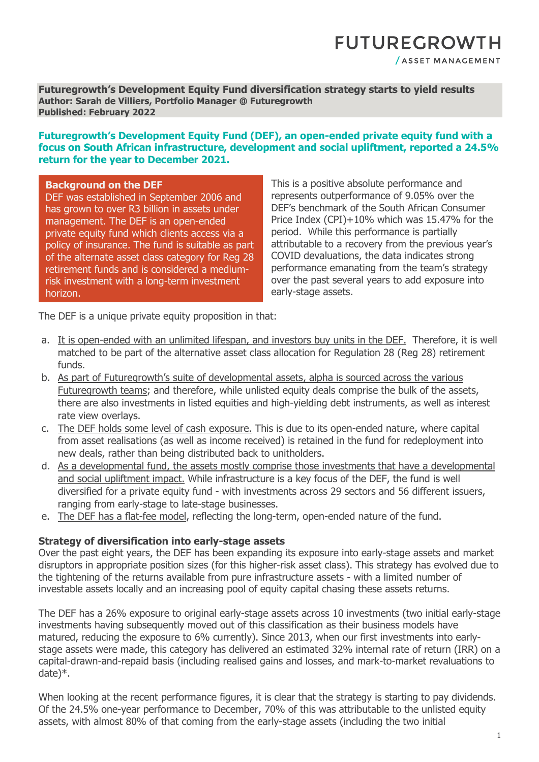## **FUTUREGROWTH** / ASSET MANAGEMENT

**Futuregrowth's Development Equity Fund diversification strategy starts to yield results Author: Sarah de Villiers, Portfolio Manager @ Futuregrowth Published: February 2022**

#### **Futuregrowth's Development Equity Fund (DEF), an open-ended private equity fund with a focus on South African infrastructure, development and social upliftment, reported a 24.5% return for the year to December 2021.**

#### **Background on the DEF**

DEF was established in September 2006 and has grown to over R3 billion in assets under management. The DEF is an open-ended private equity fund which clients access via a policy of insurance. The fund is suitable as part of the alternate asset class category for Reg 28 retirement funds and is considered a mediumrisk investment with a long-term investment horizon.

This is a positive absolute performance and represents outperformance of 9.05% over the DEF's benchmark of the South African Consumer Price Index (CPI)+10% which was 15.47% for the period. While this performance is partially attributable to a recovery from the previous year's COVID devaluations, the data indicates strong performance emanating from the team's strategy over the past several years to add exposure into early-stage assets.

The DEF is a unique private equity proposition in that:

- a. It is open-ended with an unlimited lifespan, and investors buy units in the DEF. Therefore, it is well matched to be part of the alternative asset class allocation for Regulation 28 (Reg 28) retirement funds.
- b. As part of Futuregrowth's suite of developmental assets, alpha is sourced across the various Futuregrowth teams; and therefore, while unlisted equity deals comprise the bulk of the assets, there are also investments in listed equities and high-yielding debt instruments, as well as interest rate view overlays.
- c. The DEF holds some level of cash exposure. This is due to its open-ended nature, where capital from asset realisations (as well as income received) is retained in the fund for redeployment into new deals, rather than being distributed back to unitholders.
- d. As a developmental fund, the assets mostly comprise those investments that have a developmental and social upliftment impact. While infrastructure is a key focus of the DEF, the fund is well diversified for a private equity fund - with investments across 29 sectors and 56 different issuers, ranging from early-stage to late-stage businesses.
- e. The DEF has a flat-fee model, reflecting the long-term, open-ended nature of the fund.

#### **Strategy of diversification into early-stage assets**

Over the past eight years, the DEF has been expanding its exposure into early-stage assets and market disruptors in appropriate position sizes (for this higher-risk asset class). This strategy has evolved due to the tightening of the returns available from pure infrastructure assets - with a limited number of investable assets locally and an increasing pool of equity capital chasing these assets returns.

The DEF has a 26% exposure to original early-stage assets across 10 investments (two initial early-stage investments having subsequently moved out of this classification as their business models have matured, reducing the exposure to 6% currently). Since 2013, when our first investments into earlystage assets were made, this category has delivered an estimated 32% internal rate of return (IRR) on a capital-drawn-and-repaid basis (including realised gains and losses, and mark-to-market revaluations to date)\*.

When looking at the recent performance figures, it is clear that the strategy is starting to pay dividends. Of the 24.5% one-year performance to December, 70% of this was attributable to the unlisted equity assets, with almost 80% of that coming from the early-stage assets (including the two initial